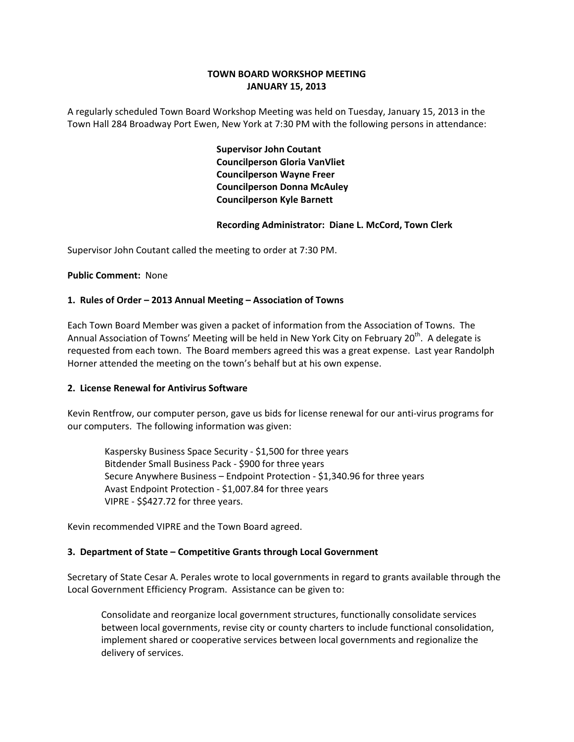# **TOWN BOARD WORKSHOP MEETING JANUARY 15, 2013**

A regularly scheduled Town Board Workshop Meeting was held on Tuesday, January 15, 2013 in the Town Hall 284 Broadway Port Ewen, New York at 7:30 PM with the following persons in attendance:

> **Supervisor John Coutant Councilperson Gloria VanVliet Councilperson Wayne Freer Councilperson Donna McAuley Councilperson Kyle Barnett**

## **Recording Administrator: Diane L. McCord, Town Clerk**

Supervisor John Coutant called the meeting to order at 7:30 PM.

## **Public Comment: None**

## **1. Rules of Order – 2013 Annual Meeting – Association of Towns**

Each Town Board Member was given a packet of information from the Association of Towns. The Annual Association of Towns' Meeting will be held in New York City on February  $20<sup>th</sup>$ . A delegate is requested from each town. The Board members agreed this was a great expense. Last year Randolph Horner attended the meeting on the town's behalf but at his own expense.

# **2. License Renewal for Antivirus Software**

Kevin Rentfrow, our computer person, gave us bids for license renewal for our anti‐virus programs for our computers. The following information was given:

 Kaspersky Business Space Security ‐ \$1,500 for three years Bitdender Small Business Pack ‐ \$900 for three years Secure Anywhere Business – Endpoint Protection ‐ \$1,340.96 for three years Avast Endpoint Protection ‐ \$1,007.84 for three years VIPRE ‐ \$\$427.72 for three years.

Kevin recommended VIPRE and the Town Board agreed.

### **3. Department of State – Competitive Grants through Local Government**

Secretary of State Cesar A. Perales wrote to local governments in regard to grants available through the Local Government Efficiency Program. Assistance can be given to:

Consolidate and reorganize local government structures, functionally consolidate services between local governments, revise city or county charters to include functional consolidation, implement shared or cooperative services between local governments and regionalize the delivery of services.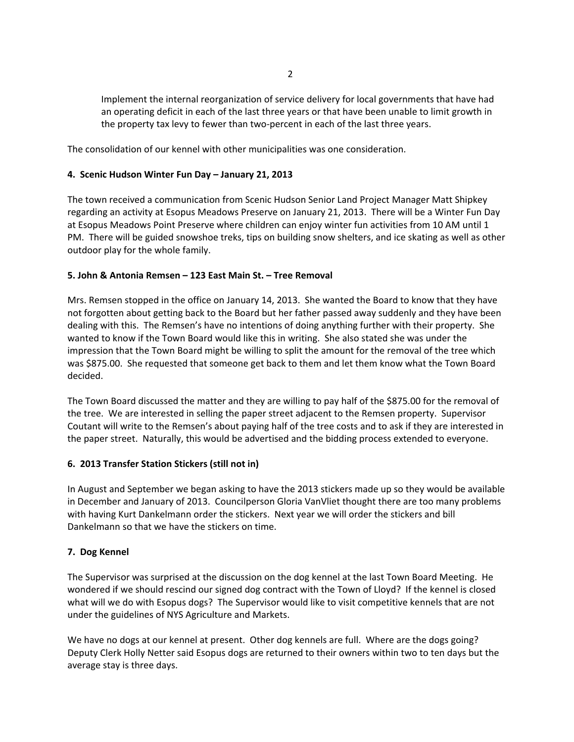Implement the internal reorganization of service delivery for local governments that have had an operating deficit in each of the last three years or that have been unable to limit growth in the property tax levy to fewer than two-percent in each of the last three years.

The consolidation of our kennel with other municipalities was one consideration.

# **4. Scenic Hudson Winter Fun Day – January 21, 2013**

The town received a communication from Scenic Hudson Senior Land Project Manager Matt Shipkey regarding an activity at Esopus Meadows Preserve on January 21, 2013. There will be a Winter Fun Day at Esopus Meadows Point Preserve where children can enjoy winter fun activities from 10 AM until 1 PM. There will be guided snowshoe treks, tips on building snow shelters, and ice skating as well as other outdoor play for the whole family.

# **5. John & Antonia Remsen – 123 East Main St. – Tree Removal**

Mrs. Remsen stopped in the office on January 14, 2013. She wanted the Board to know that they have not forgotten about getting back to the Board but her father passed away suddenly and they have been dealing with this. The Remsen's have no intentions of doing anything further with their property. She wanted to know if the Town Board would like this in writing. She also stated she was under the impression that the Town Board might be willing to split the amount for the removal of the tree which was \$875.00. She requested that someone get back to them and let them know what the Town Board decided.

The Town Board discussed the matter and they are willing to pay half of the \$875.00 for the removal of the tree. We are interested in selling the paper street adjacent to the Remsen property. Supervisor Coutant will write to the Remsen's about paying half of the tree costs and to ask if they are interested in the paper street. Naturally, this would be advertised and the bidding process extended to everyone.

# **6. 2013 Transfer Station Stickers (still not in)**

In August and September we began asking to have the 2013 stickers made up so they would be available in December and January of 2013. Councilperson Gloria VanVliet thought there are too many problems with having Kurt Dankelmann order the stickers. Next year we will order the stickers and bill Dankelmann so that we have the stickers on time.

# **7. Dog Kennel**

The Supervisor was surprised at the discussion on the dog kennel at the last Town Board Meeting. He wondered if we should rescind our signed dog contract with the Town of Lloyd? If the kennel is closed what will we do with Esopus dogs? The Supervisor would like to visit competitive kennels that are not under the guidelines of NYS Agriculture and Markets.

We have no dogs at our kennel at present. Other dog kennels are full. Where are the dogs going? Deputy Clerk Holly Netter said Esopus dogs are returned to their owners within two to ten days but the average stay is three days.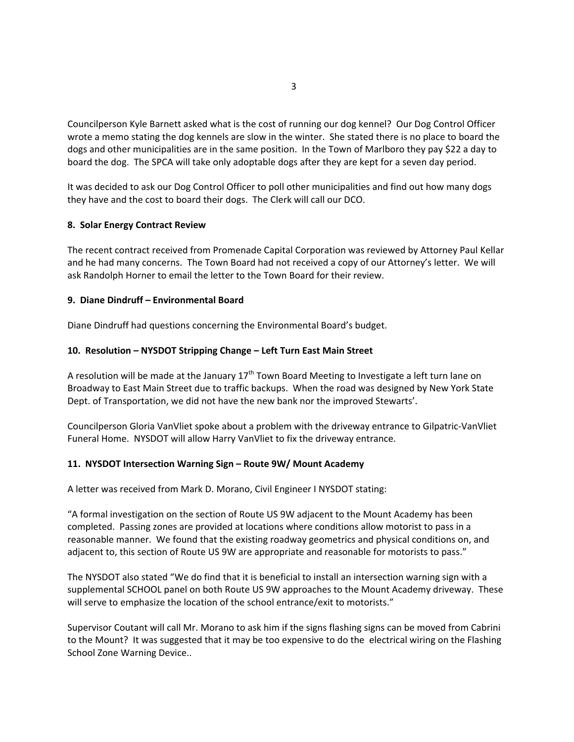Councilperson Kyle Barnett asked what is the cost of running our dog kennel? Our Dog Control Officer wrote a memo stating the dog kennels are slow in the winter. She stated there is no place to board the dogs and other municipalities are in the same position. In the Town of Marlboro they pay \$22 a day to board the dog. The SPCA will take only adoptable dogs after they are kept for a seven day period.

It was decided to ask our Dog Control Officer to poll other municipalities and find out how many dogs they have and the cost to board their dogs. The Clerk will call our DCO.

### **8. Solar Energy Contract Review**

The recent contract received from Promenade Capital Corporation was reviewed by Attorney Paul Kellar and he had many concerns. The Town Board had not received a copy of our Attorney's letter. We will ask Randolph Horner to email the letter to the Town Board for their review.

## **9. Diane Dindruff – Environmental Board**

Diane Dindruff had questions concerning the Environmental Board's budget.

## **10. Resolution – NYSDOT Stripping Change – Left Turn East Main Street**

A resolution will be made at the January  $17<sup>th</sup>$  Town Board Meeting to Investigate a left turn lane on Broadway to East Main Street due to traffic backups. When the road was designed by New York State Dept. of Transportation, we did not have the new bank nor the improved Stewarts'.

Councilperson Gloria VanVliet spoke about a problem with the driveway entrance to Gilpatric‐VanVliet Funeral Home. NYSDOT will allow Harry VanVliet to fix the driveway entrance.

### **11. NYSDOT Intersection Warning Sign – Route 9W/ Mount Academy**

A letter was received from Mark D. Morano, Civil Engineer I NYSDOT stating:

"A formal investigation on the section of Route US 9W adjacent to the Mount Academy has been completed. Passing zones are provided at locations where conditions allow motorist to pass in a reasonable manner. We found that the existing roadway geometrics and physical conditions on, and adjacent to, this section of Route US 9W are appropriate and reasonable for motorists to pass."

The NYSDOT also stated "We do find that it is beneficial to install an intersection warning sign with a supplemental SCHOOL panel on both Route US 9W approaches to the Mount Academy driveway. These will serve to emphasize the location of the school entrance/exit to motorists."

Supervisor Coutant will call Mr. Morano to ask him if the signs flashing signs can be moved from Cabrini to the Mount? It was suggested that it may be too expensive to do the electrical wiring on the Flashing School Zone Warning Device..